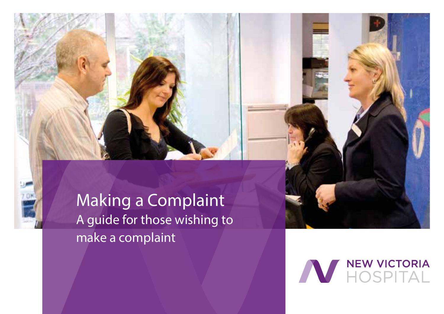

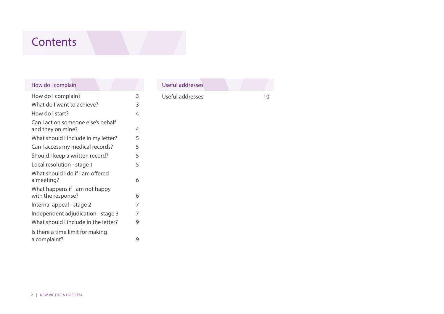# **Contents**

| How do I complain                                       |                |
|---------------------------------------------------------|----------------|
| How do I complain?                                      | 3              |
| What do I want to achieve?                              | 3              |
| How do I start?                                         | $\overline{4}$ |
| Can I act on someone else's behalf<br>and they on mine? | 4              |
| What should I include in my letter?                     | 5              |
| Can I access my medical records?                        | 5              |
| Should I keep a written record?                         | 5              |
| Local resolution - stage 1                              | 5              |
| What should I do if I am offered<br>a meeting?          | 6              |
| What happens if I am not happy<br>with the response?    | 6              |
| Internal appeal - stage 2                               | 7              |
| Independent adjudication - stage 3                      | 7              |
| What should I include in the letter?                    | 9              |
| Is there a time limit for making<br>a complaint?        | 9              |

| Useful addresses |  |    |
|------------------|--|----|
| Useful addresses |  | 10 |
|                  |  |    |
|                  |  |    |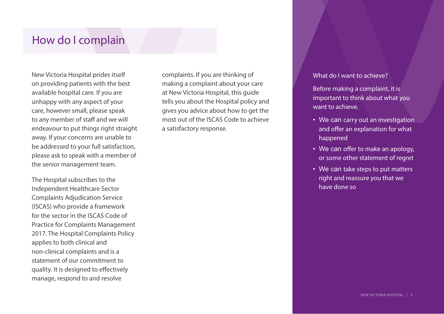## How do I complain

New Victoria Hospital prides itself on providing patients with the best available hospital care. If you are unhappy with any aspect of your care, however small, please speak to any member of staff and we will endeavour to put things right straight away. If your concerns are unable to be addressed to your full satisfaction, please ask to speak with a member of the senior management team.

The Hospital subscribes to the Independent Healthcare Sector Complaints Adjudication Service (ISCAS) who provide a framework for the sector in the ISCAS Code of Practice for Complaints Management 2017. The Hospital Complaints Policy applies to both clinical and non-clinical complaints and is a statement of our commitment to quality. It is designed to effectively manage, respond to and resolve

complaints. If you are thinking of making a complaint about your care at New Victoria Hospital, this guide tells you about the Hospital policy and gives you advice about how to get the most out of the ISCAS Code to achieve a satisfactory response.

## What do I want to achieve?

Before making a complaint, it is important to think about what you want to achieve.

- We can carry out an investigation and offer an explanation for what happened
- We can offer to make an apology, or some other statement of regret
- We can take steps to put matters right and reassure you that we have done so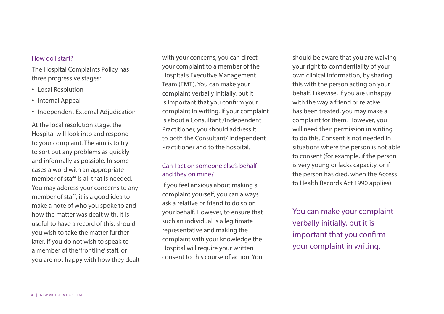#### How do I start?

The Hospital Complaints Policy has three progressive stages:

- Local Resolution
- Internal Appeal
- Independent External Adjudication

At the local resolution stage, the Hospital will look into and respond to your complaint. The aim is to try to sort out any problems as quickly and informally as possible. In some cases a word with an appropriate member of staff is all that is needed. You may address your concerns to any member of staff, it is a good idea to make a note of who you spoke to and how the matter was dealt with. It is useful to have a record of this, should you wish to take the matter further later. If you do not wish to speak to a member of the 'frontline' staff, or you are not happy with how they dealt with your concerns, you can direct your complaint to a member of the Hospital's Executive Management Team (EMT). You can make your complaint verbally initially, but it is important that you confirm your complaint in writing. If your complaint is about a Consultant /Independent Practitioner, you should address it to both the Consultant/ Independent Practitioner and to the hospital.

## Can I act on someone else's behalf and they on mine?

If you feel anxious about making a complaint yourself, you can always ask a relative or friend to do so on your behalf. However, to ensure that such an individual is a legitimate representative and making the complaint with your knowledge the Hospital will require your written consent to this course of action. You

should be aware that you are waiving your right to confidentiality of your own clinical information, by sharing this with the person acting on your behalf. Likewise, if you are unhappy with the way a friend or relative has been treated, you may make a complaint for them. However, you will need their permission in writing to do this. Consent is not needed in situations where the person is not able to consent (for example, if the person is very young or lacks capacity, or if the person has died, when the Access to Health Records Act 1990 applies).

You can make your complaint verbally initially, but it is important that you confirm your complaint in writing.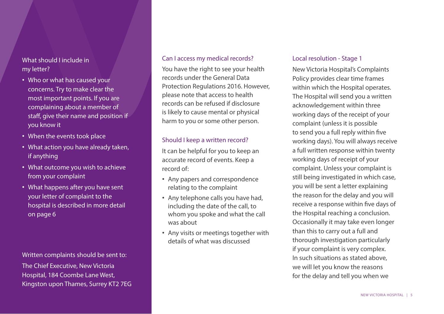What should I include in my letter?

- Who or what has caused your concerns. Try to make clear the most important points. If you are complaining about a member of staff, give their name and position if you know it
- When the events took place
- What action you have already taken, if anything
- What outcome you wish to achieve from your complaint
- What happens after you have sent your letter of complaint to the hospital is described in more detail on page 6

Kingston upon Thames, Surrey KT2 7EG Written complaints should be sent to: The Chief Executive, New Victoria Hospital, 184 Coombe Lane West,

### Can I access my medical records?

You have the right to see your health records under the General Data Protection Regulations 2016. However, please note that access to health records can be refused if disclosure is likely to cause mental or physical harm to you or some other person.

## Should I keep a written record?

It can be helpful for you to keep an accurate record of events. Keep a record of:

- Any papers and correspondence relating to the complaint
- Any telephone calls you have had, including the date of the call, to whom you spoke and what the call was about
- Any visits or meetings together with details of what was discussed

#### Local resolution - Stage 1

New Victoria Hospital's Complaints Policy provides clear time frames within which the Hospital operates. The Hospital will send you a written acknowledgement within three working days of the receipt of your complaint (unless it is possible to send you a full reply within five working days). You will always receive a full written response within twenty working days of receipt of your complaint. Unless your complaint is still being investigated in which case, you will be sent a letter explaining the reason for the delay and you will receive a response within five days of the Hospital reaching a conclusion. Occasionally it may take even longer than this to carry out a full and thorough investigation particularly if your complaint is very complex. In such situations as stated above, we will let you know the reasons for the delay and tell you when we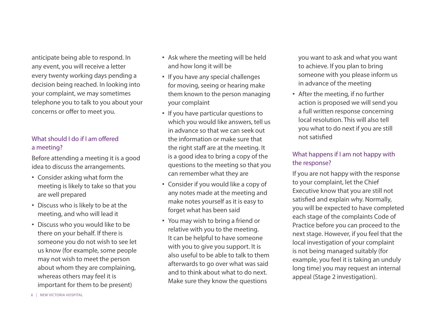anticipate being able to respond. In any event, you will receive a letter every twenty working days pending a decision being reached. In looking into your complaint, we may sometimes telephone you to talk to you about your concerns or offer to meet you.

## What should I do if I am offered a meeting?

Before attending a meeting it is a good idea to discuss the arrangements.

- Consider asking what form the meeting is likely to take so that you are well prepared
- Discuss who is likely to be at the meeting, and who will lead it
- Discuss who you would like to be there on your behalf. If there is someone you do not wish to see let us know (for example, some people may not wish to meet the person about whom they are complaining, whereas others may feel it is important for them to be present)
- Ask where the meeting will be held and how long it will be
- If you have any special challenges for moving, seeing or hearing make them known to the person managing your complaint
- If you have particular questions to which you would Iike answers, tell us in advance so that we can seek out the information or make sure that the right staff are at the meeting. It is a good idea to bring a copy of the questions to the meeting so that you can remember what they are
- Consider if you would like a copy of any notes made at the meeting and make notes yourself as it is easy to forget what has been said
- You may wish to bring a friend or relative with you to the meeting. It can be helpful to have someone with you to give you support. It is also useful to be able to talk to them afterwards to go over what was said and to think about what to do next. Make sure they know the questions

you want to ask and what you want to achieve. If you plan to bring someone with you please inform us in advance of the meeting

• After the meeting, if no further action is proposed we will send you a full written response concerning local resolution. This will also tell you what to do next if you are still not satisfied

## What happens if I am not happy with the response?

If you are not happy with the response to your complaint, let the Chief Executive know that you are still not satisfied and explain why. Normally, you will be expected to have completed each stage of the complaints Code of Practice before you can proceed to the next stage. However, if you feel that the local investigation of your complaint is not being managed suitably (for example, you feel it is taking an unduly long time) you may request an internal appeal (Stage 2 investigation).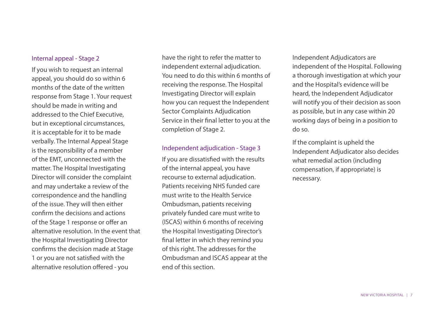## Internal appeal - Stage 2

If you wish to request an internal appeal, you should do so within 6 months of the date of the written response from Stage 1. Your request should be made in writing and addressed to the Chief Executive, but in exceptional circumstances, it is acceptable for it to be made verbally. The Internal Appeal Stage is the responsibility of a member of the EMT, unconnected with the matter. The Hospital Investigating Director will consider the complaint and may undertake a review of the correspondence and the handling of the issue. They will then either confirm the decisions and actions of the Stage 1 response or offer an alternative resolution. In the event that the Hospital Investigating Director confirms the decision made at Stage 1 or you are not satisfied with the alternative resolution offered - you

have the right to refer the matter to independent external adjudication. You need to do this within 6 months of receiving the response. The Hospital Investigating Director will explain how you can request the Independent Sector Complaints Adjudication Service in their final letter to you at the completion of Stage 2.

#### Independent adjudication - Stage 3

If you are dissatisfied with the results of the internal appeal, you have recourse to external adjudication. Patients receiving NHS funded care must write to the Health Service Ombudsman, patients receiving privately funded care must write to (ISCAS) within 6 months of receiving the Hospital Investigating Director's final letter in which they remind you of this right. The addresses for the Ombudsman and ISCAS appear at the end of this section.

Independent Adjudicators are independent of the Hospital. Following a thorough investigation at which your and the Hospital's evidence will be heard, the Independent Adjudicator will notify you of their decision as soon as possible, but in any case within 20 working days of being in a position to do so.

If the complaint is upheld the Independent Adjudicator also decides what remedial action (including compensation, if appropriate) is necessary.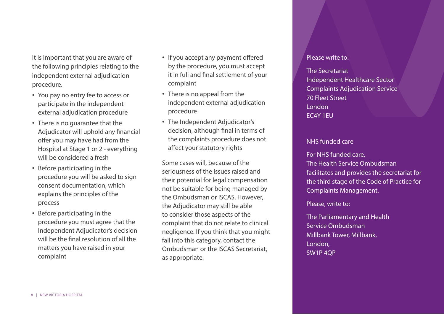It is important that you are aware of the following principles relating to the independent external adjudication procedure.

- You pay no entry fee to access or participate in the independent external adjudication procedure
- There is no guarantee that the Adjudicator will uphold any financial offer you may have had from the Hospital at Stage 1 or 2 - everything will be considered a fresh
- Before participating in the procedure you will be asked to sign consent documentation, which explains the principles of the process
- Before participating in the procedure you must agree that the Independent Adjudicator's decision will be the final resolution of all the matters you have raised in your complaint
- If you accept any payment offered by the procedure, you must accept it in full and final settlement of your complaint
- There is no appeal from the independent external adjudication procedure
- The Independent Adjudicator's decision, although final in terms of the complaints procedure does not affect your statutory rights

Some cases will, because of the seriousness of the issues raised and their potential for legal compensation not be suitable for being managed by the Ombudsman or ISCAS. However, the Adjudicator may still be able to consider those aspects of the complaint that do not relate to clinical negligence. If you think that you might fall into this category, contact the Ombudsman or the ISCAS Secretariat, as appropriate.

#### Please write to:

The Secretariat Independent Healthcare Sector Complaints Adjudication Service 70 Fleet Street London EC4Y 1EU

## NHS funded care

For NHS funded care, The Health Service Ombudsman facilitates and provides the secretariat for the third stage of the Code of Practice for Complaints Management.

Please, write to:

The Parliamentary and Health Service Ombudsman Millbank Tower, Millbank, London, SW1P 4QP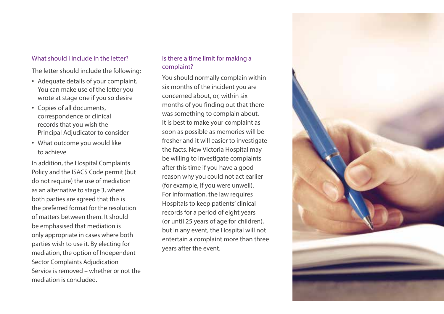## What should Linclude in the letter?

The letter should include the following:

- Adequate details of your complaint. You can make use of the letter you wrote at stage one if you so desire
- Copies of all documents, correspondence or clinical records that you wish the Principal Adjudicator to consider
- What outcome you would like to achieve

In addition, the Hospital Complaints Policy and the ISACS Code permit (but do not require) the use of mediation as an alternative to stage 3, where both parties are agreed that this is the preferred format for the resolution of matters between them. It should be emphasised that mediation is only appropriate in cases where both parties wish to use it. By electing for mediation, the option of Independent Sector Complaints Adjudication Service is removed – whether or not the mediation is concluded.

## Is there a time limit for making a complaint?

You should normally complain within six months of the incident you are concerned about, or, within six months of you finding out that there was something to complain about. It is best to make your complaint as soon as possible as memories will be fresher and it will easier to investigate the facts. New Victoria Hospital may be willing to investigate complaints after this time if you have a good reason why you could not act earlier (for example, if you were unwell). For information, the law requires Hospitals to keep patients' clinical records for a period of eight years (or until 25 years of age for children), but in any event, the Hospital will not entertain a complaint more than three years after the event.

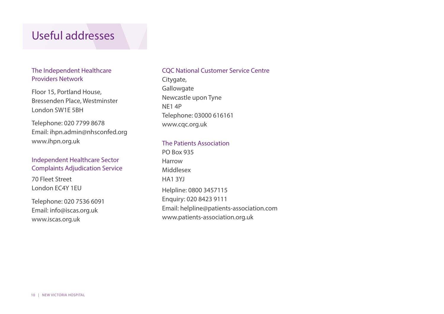## Useful addresses

## The Independent Healthcare Providers Network

Floor 15, Portland House, Bressenden Place, Westminster London SW1E 5BH

Telephone: 020 7799 8678 Email: ihpn.admin@nhsconfed.org www.ihpn.org.uk

## Independent Healthcare Sector Complaints Adjudication Service

70 Fleet Street London EC4Y 1EU

Telephone: 020 7536 6091 Email: info@iscas.org.uk www.iscas.org.uk

#### CQC National Customer Service Centre

Citygate, **Gallowgate** Newcastle upon Tyne NE1 4P Telephone: 03000 616161 www.cqc.org.uk

## The Patients Association

PO Box 935 Harrow Middlesex HA1 3YJ Helpline: 0800 3457115 Enquiry: 020 8423 9111 Email: helpline@patients-association.com www.patients-association.org.uk